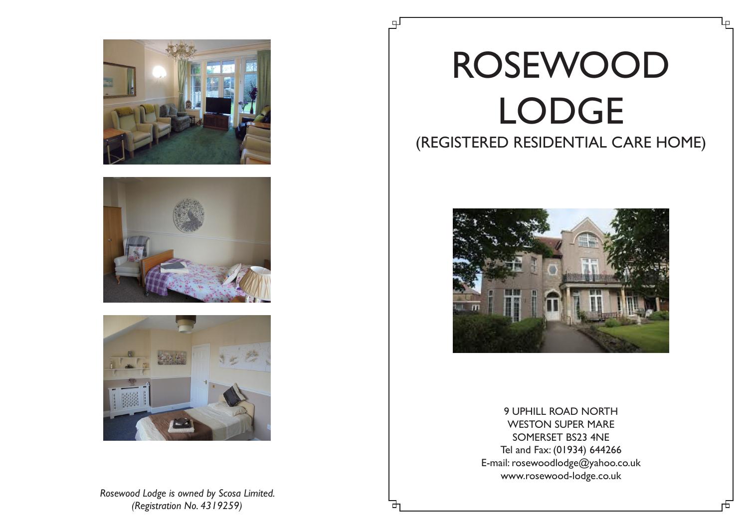





*Rosewood Lodge is owned by Scosa Limited. (Registration No. 4319259)*

## ROSEWOOD LODGE (REGISTERED RESIDENTIAL CARE HOME)



9 UPHILL ROAD NORTH WESTON SUPER MARE SOMERSET BS23 4NE Tel and Fax: (01934) 644266 E-mail: rosewoodlodge@yahoo.co.uk www.rosewood-lodge.co.uk